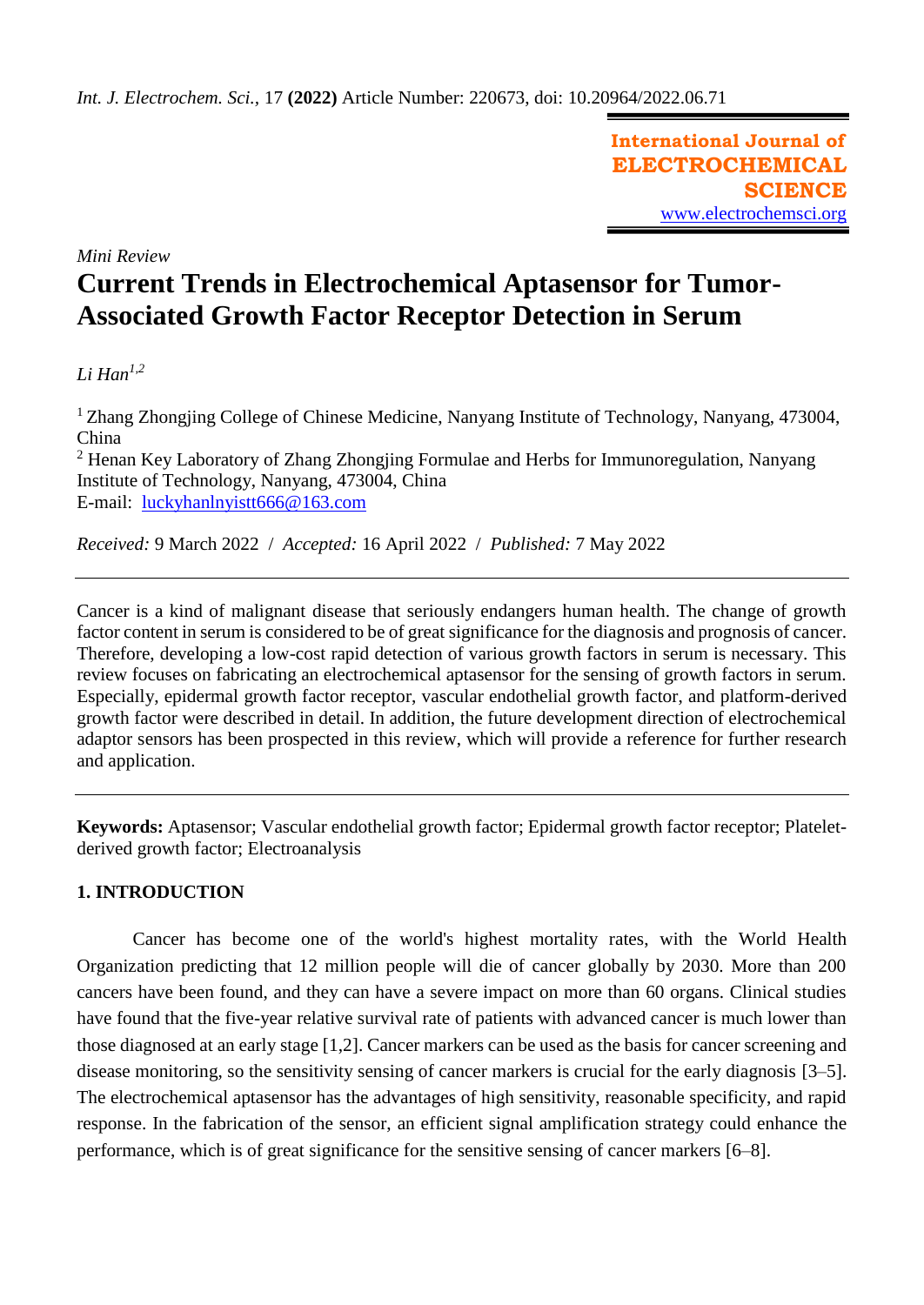**International Journal of ELECTROCHEMICAL SCIENCE** [www.electrochemsci.org](http://www.electrochemsci.org/)

*Mini Review*

# **Current Trends in Electrochemical Aptasensor for Tumor-Associated Growth Factor Receptor Detection in Serum**

# *Li Han1,2*

<sup>1</sup> Zhang Zhongjing College of Chinese Medicine, Nanyang Institute of Technology, Nanyang, 473004, China

<sup>2</sup> Henan Key Laboratory of Zhang Zhongjing Formulae and Herbs for Immunoregulation, Nanyang Institute of Technology, Nanyang, 473004, China E-mail: [luckyhanlnyistt666@163.com](mailto:luckyhanlnyistt666@163.com)

*Received:* 9 March 2022/ *Accepted:* 16 April 2022 / *Published:* 7 May 2022

Cancer is a kind of malignant disease that seriously endangers human health. The change of growth factor content in serum is considered to be of great significance for the diagnosis and prognosis of cancer. Therefore, developing a low-cost rapid detection of various growth factors in serum is necessary. This review focuses on fabricating an electrochemical aptasensor for the sensing of growth factors in serum. Especially, epidermal growth factor receptor, vascular endothelial growth factor, and platform-derived growth factor were described in detail. In addition, the future development direction of electrochemical adaptor sensors has been prospected in this review, which will provide a reference for further research and application.

**Keywords:** Aptasensor; Vascular endothelial growth factor; Epidermal growth factor receptor; Plateletderived growth factor; Electroanalysis

# **1. INTRODUCTION**

Cancer has become one of the world's highest mortality rates, with the World Health Organization predicting that 12 million people will die of cancer globally by 2030. More than 200 cancers have been found, and they can have a severe impact on more than 60 organs. Clinical studies have found that the five-year relative survival rate of patients with advanced cancer is much lower than those diagnosed at an early stage [1,2]. Cancer markers can be used as the basis for cancer screening and disease monitoring, so the sensitivity sensing of cancer markers is crucial for the early diagnosis [3–5]. The electrochemical aptasensor has the advantages of high sensitivity, reasonable specificity, and rapid response. In the fabrication of the sensor, an efficient signal amplification strategy could enhance the performance, which is of great significance for the sensitive sensing of cancer markers [6–8].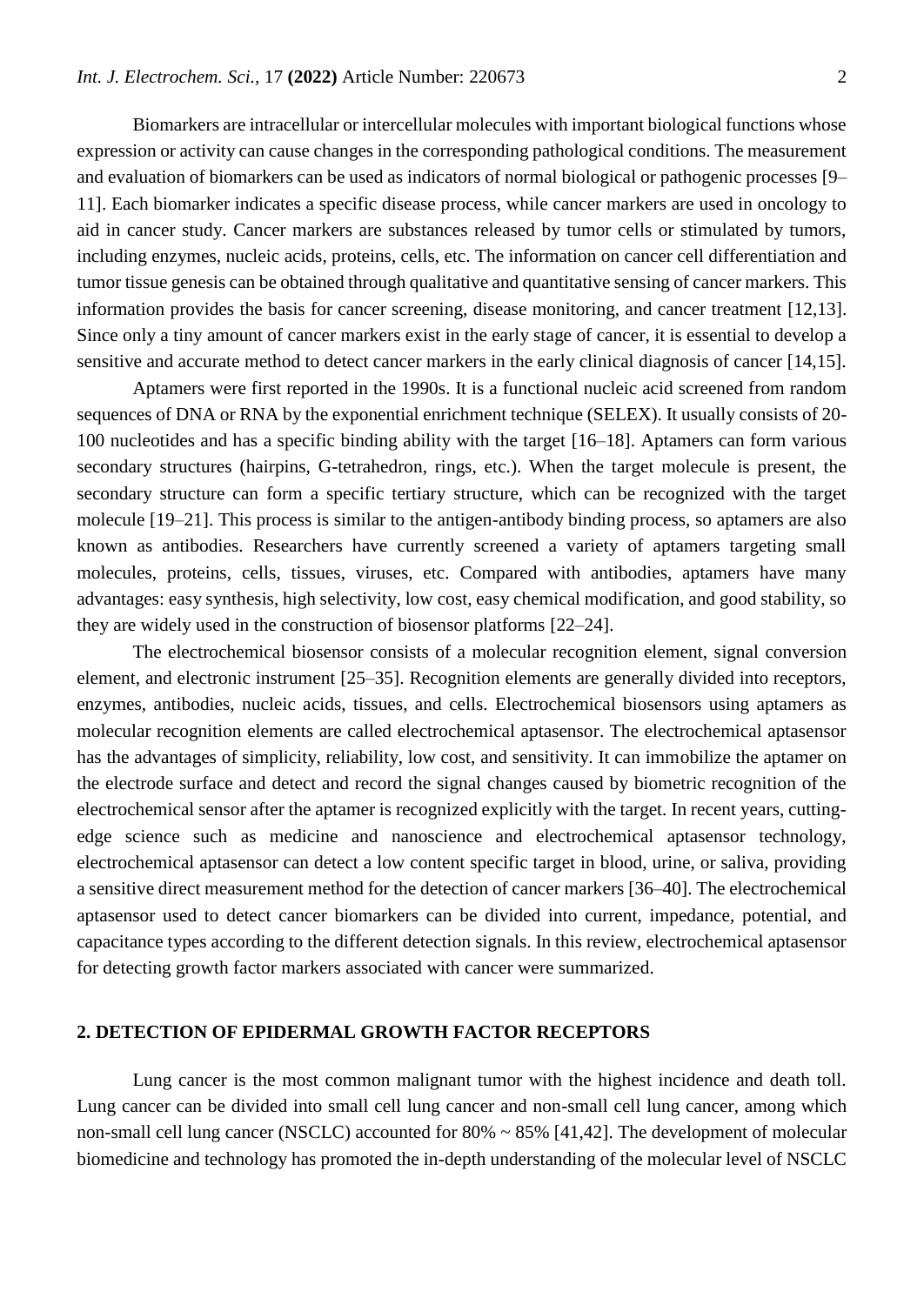Biomarkers are intracellular or intercellular molecules with important biological functions whose expression or activity can cause changes in the corresponding pathological conditions. The measurement and evaluation of biomarkers can be used as indicators of normal biological or pathogenic processes [9– 11]. Each biomarker indicates a specific disease process, while cancer markers are used in oncology to aid in cancer study. Cancer markers are substances released by tumor cells or stimulated by tumors, including enzymes, nucleic acids, proteins, cells, etc. The information on cancer cell differentiation and tumor tissue genesis can be obtained through qualitative and quantitative sensing of cancer markers. This information provides the basis for cancer screening, disease monitoring, and cancer treatment [12,13]. Since only a tiny amount of cancer markers exist in the early stage of cancer, it is essential to develop a sensitive and accurate method to detect cancer markers in the early clinical diagnosis of cancer [14,15].

Aptamers were first reported in the 1990s. It is a functional nucleic acid screened from random sequences of DNA or RNA by the exponential enrichment technique (SELEX). It usually consists of 20- 100 nucleotides and has a specific binding ability with the target [16–18]. Aptamers can form various secondary structures (hairpins, G-tetrahedron, rings, etc.). When the target molecule is present, the secondary structure can form a specific tertiary structure, which can be recognized with the target molecule [19–21]. This process is similar to the antigen-antibody binding process, so aptamers are also known as antibodies. Researchers have currently screened a variety of aptamers targeting small molecules, proteins, cells, tissues, viruses, etc. Compared with antibodies, aptamers have many advantages: easy synthesis, high selectivity, low cost, easy chemical modification, and good stability, so they are widely used in the construction of biosensor platforms [22–24].

The electrochemical biosensor consists of a molecular recognition element, signal conversion element, and electronic instrument [25–35]. Recognition elements are generally divided into receptors, enzymes, antibodies, nucleic acids, tissues, and cells. Electrochemical biosensors using aptamers as molecular recognition elements are called electrochemical aptasensor. The electrochemical aptasensor has the advantages of simplicity, reliability, low cost, and sensitivity. It can immobilize the aptamer on the electrode surface and detect and record the signal changes caused by biometric recognition of the electrochemical sensor after the aptamer is recognized explicitly with the target. In recent years, cuttingedge science such as medicine and nanoscience and electrochemical aptasensor technology, electrochemical aptasensor can detect a low content specific target in blood, urine, or saliva, providing a sensitive direct measurement method for the detection of cancer markers [36–40]. The electrochemical aptasensor used to detect cancer biomarkers can be divided into current, impedance, potential, and capacitance types according to the different detection signals. In this review, electrochemical aptasensor for detecting growth factor markers associated with cancer were summarized.

### **2. DETECTION OF EPIDERMAL GROWTH FACTOR RECEPTORS**

Lung cancer is the most common malignant tumor with the highest incidence and death toll. Lung cancer can be divided into small cell lung cancer and non-small cell lung cancer, among which non-small cell lung cancer (NSCLC) accounted for 80% ~ 85% [41,42]. The development of molecular biomedicine and technology has promoted the in-depth understanding of the molecular level of NSCLC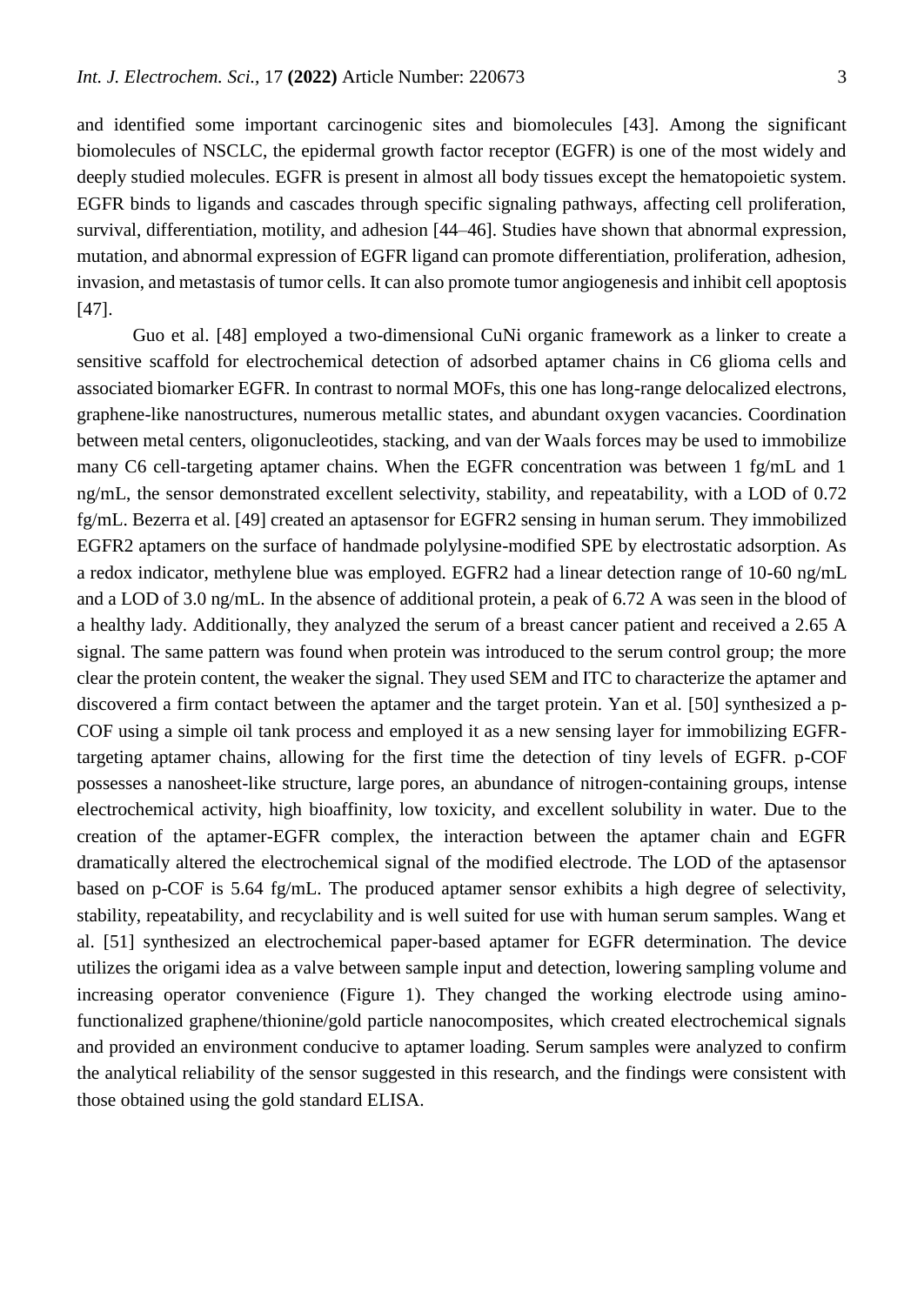and identified some important carcinogenic sites and biomolecules [43]. Among the significant biomolecules of NSCLC, the epidermal growth factor receptor (EGFR) is one of the most widely and deeply studied molecules. EGFR is present in almost all body tissues except the hematopoietic system. EGFR binds to ligands and cascades through specific signaling pathways, affecting cell proliferation, survival, differentiation, motility, and adhesion [44–46]. Studies have shown that abnormal expression, mutation, and abnormal expression of EGFR ligand can promote differentiation, proliferation, adhesion, invasion, and metastasis of tumor cells. It can also promote tumor angiogenesis and inhibit cell apoptosis [47].

Guo et al. [48] employed a two-dimensional CuNi organic framework as a linker to create a sensitive scaffold for electrochemical detection of adsorbed aptamer chains in C6 glioma cells and associated biomarker EGFR. In contrast to normal MOFs, this one has long-range delocalized electrons, graphene-like nanostructures, numerous metallic states, and abundant oxygen vacancies. Coordination between metal centers, oligonucleotides, stacking, and van der Waals forces may be used to immobilize many C6 cell-targeting aptamer chains. When the EGFR concentration was between 1 fg/mL and 1 ng/mL, the sensor demonstrated excellent selectivity, stability, and repeatability, with a LOD of 0.72 fg/mL. Bezerra et al. [49] created an aptasensor for EGFR2 sensing in human serum. They immobilized EGFR2 aptamers on the surface of handmade polylysine-modified SPE by electrostatic adsorption. As a redox indicator, methylene blue was employed. EGFR2 had a linear detection range of 10-60 ng/mL and a LOD of 3.0 ng/mL. In the absence of additional protein, a peak of 6.72 A was seen in the blood of a healthy lady. Additionally, they analyzed the serum of a breast cancer patient and received a 2.65 A signal. The same pattern was found when protein was introduced to the serum control group; the more clear the protein content, the weaker the signal. They used SEM and ITC to characterize the aptamer and discovered a firm contact between the aptamer and the target protein. Yan et al. [50] synthesized a p-COF using a simple oil tank process and employed it as a new sensing layer for immobilizing EGFRtargeting aptamer chains, allowing for the first time the detection of tiny levels of EGFR. p-COF possesses a nanosheet-like structure, large pores, an abundance of nitrogen-containing groups, intense electrochemical activity, high bioaffinity, low toxicity, and excellent solubility in water. Due to the creation of the aptamer-EGFR complex, the interaction between the aptamer chain and EGFR dramatically altered the electrochemical signal of the modified electrode. The LOD of the aptasensor based on p-COF is 5.64 fg/mL. The produced aptamer sensor exhibits a high degree of selectivity, stability, repeatability, and recyclability and is well suited for use with human serum samples. Wang et al. [51] synthesized an electrochemical paper-based aptamer for EGFR determination. The device utilizes the origami idea as a valve between sample input and detection, lowering sampling volume and increasing operator convenience (Figure 1). They changed the working electrode using aminofunctionalized graphene/thionine/gold particle nanocomposites, which created electrochemical signals and provided an environment conducive to aptamer loading. Serum samples were analyzed to confirm the analytical reliability of the sensor suggested in this research, and the findings were consistent with those obtained using the gold standard ELISA.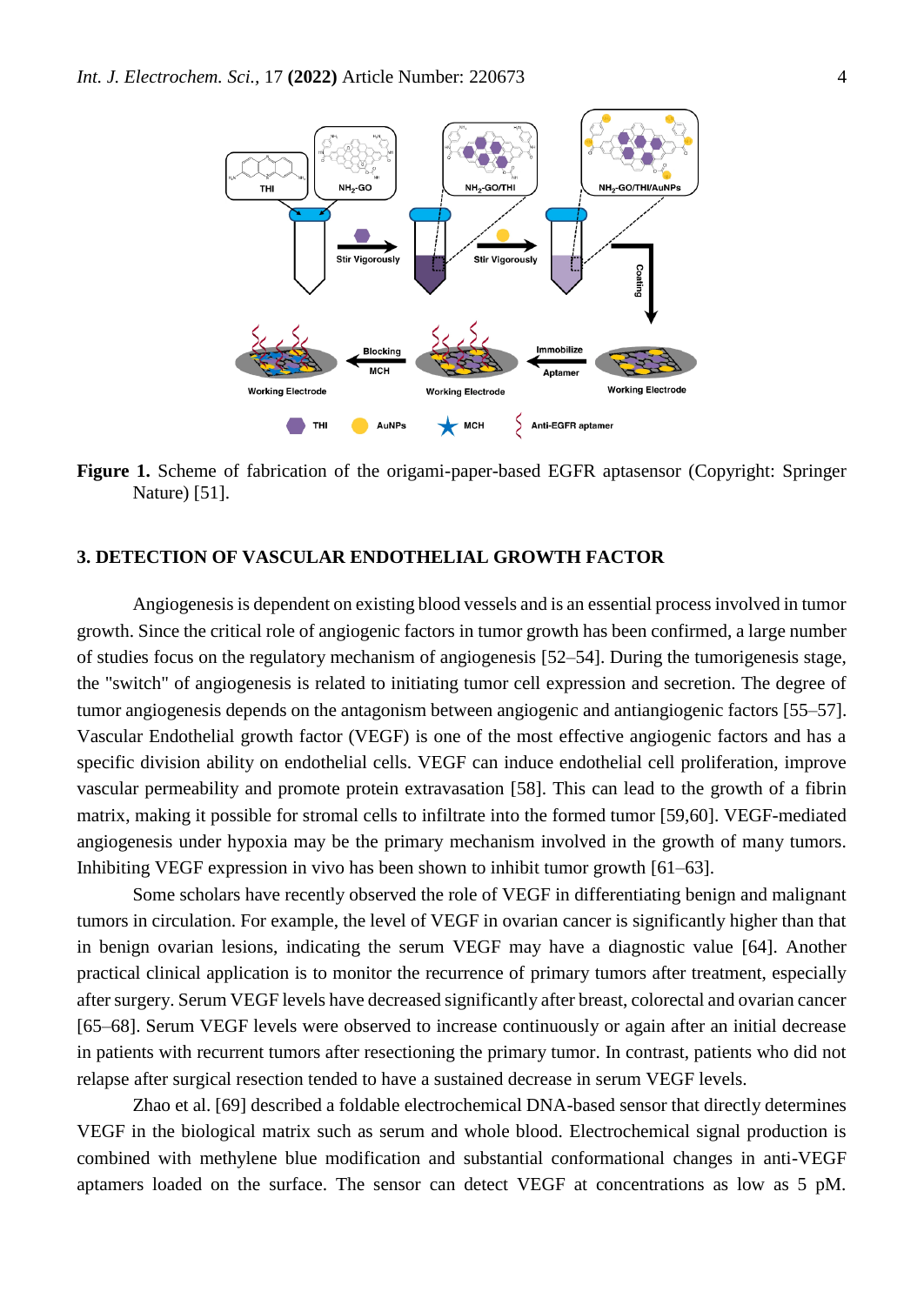

**Figure 1.** Scheme of fabrication of the origami-paper-based EGFR aptasensor (Copyright: Springer Nature) [51].

# **3. DETECTION OF VASCULAR ENDOTHELIAL GROWTH FACTOR**

Angiogenesis is dependent on existing blood vessels and is an essential process involved in tumor growth. Since the critical role of angiogenic factors in tumor growth has been confirmed, a large number of studies focus on the regulatory mechanism of angiogenesis [52–54]. During the tumorigenesis stage, the "switch" of angiogenesis is related to initiating tumor cell expression and secretion. The degree of tumor angiogenesis depends on the antagonism between angiogenic and antiangiogenic factors [55–57]. Vascular Endothelial growth factor (VEGF) is one of the most effective angiogenic factors and has a specific division ability on endothelial cells. VEGF can induce endothelial cell proliferation, improve vascular permeability and promote protein extravasation [58]. This can lead to the growth of a fibrin matrix, making it possible for stromal cells to infiltrate into the formed tumor [59,60]. VEGF-mediated angiogenesis under hypoxia may be the primary mechanism involved in the growth of many tumors. Inhibiting VEGF expression in vivo has been shown to inhibit tumor growth [61–63].

Some scholars have recently observed the role of VEGF in differentiating benign and malignant tumors in circulation. For example, the level of VEGF in ovarian cancer is significantly higher than that in benign ovarian lesions, indicating the serum VEGF may have a diagnostic value [64]. Another practical clinical application is to monitor the recurrence of primary tumors after treatment, especially after surgery. Serum VEGF levels have decreased significantly after breast, colorectal and ovarian cancer [65–68]. Serum VEGF levels were observed to increase continuously or again after an initial decrease in patients with recurrent tumors after resectioning the primary tumor. In contrast, patients who did not relapse after surgical resection tended to have a sustained decrease in serum VEGF levels.

Zhao et al. [69] described a foldable electrochemical DNA-based sensor that directly determines VEGF in the biological matrix such as serum and whole blood. Electrochemical signal production is combined with methylene blue modification and substantial conformational changes in anti-VEGF aptamers loaded on the surface. The sensor can detect VEGF at concentrations as low as 5 pM.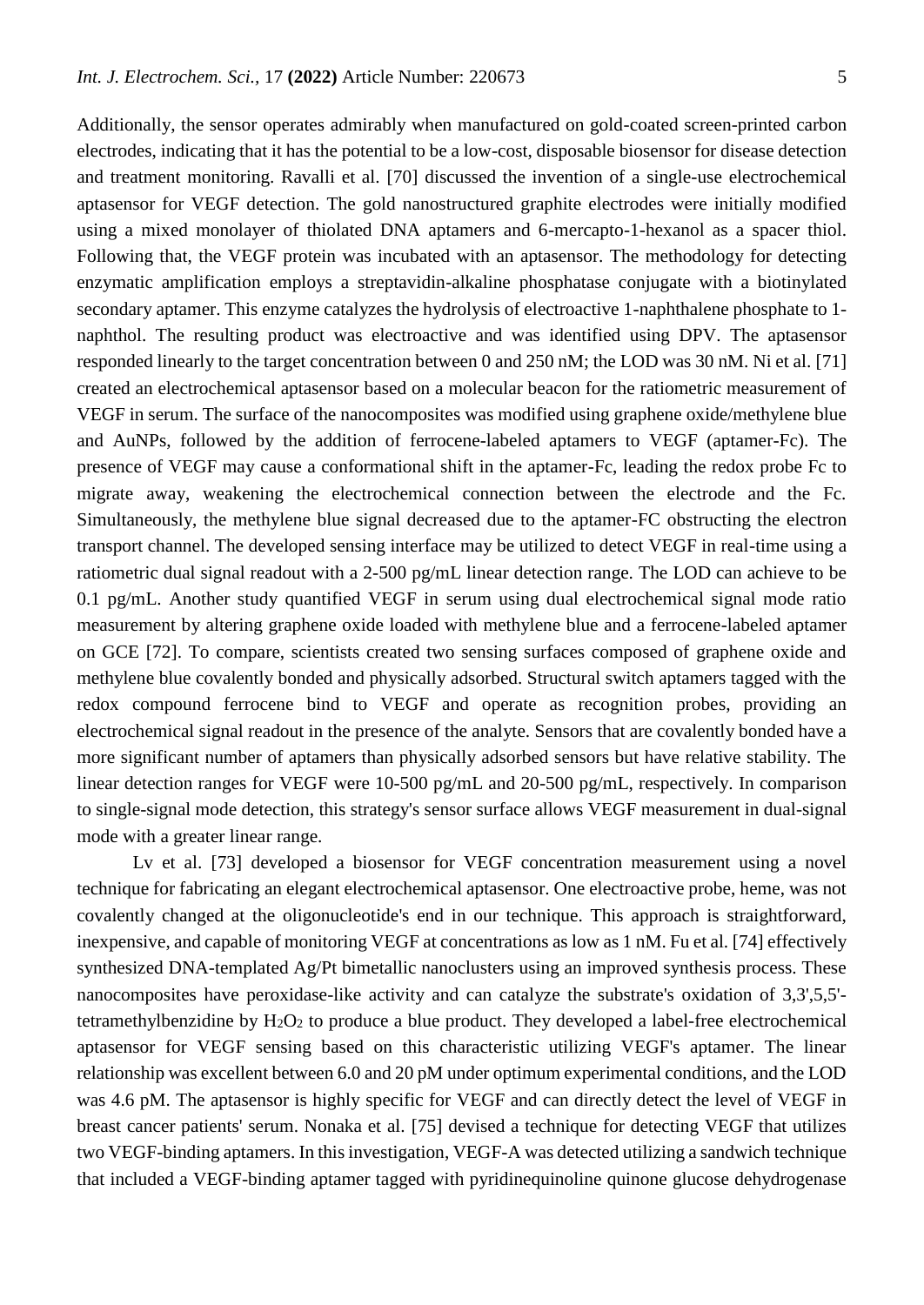Additionally, the sensor operates admirably when manufactured on gold-coated screen-printed carbon electrodes, indicating that it has the potential to be a low-cost, disposable biosensor for disease detection and treatment monitoring. Ravalli et al. [70] discussed the invention of a single-use electrochemical aptasensor for VEGF detection. The gold nanostructured graphite electrodes were initially modified using a mixed monolayer of thiolated DNA aptamers and 6-mercapto-1-hexanol as a spacer thiol. Following that, the VEGF protein was incubated with an aptasensor. The methodology for detecting enzymatic amplification employs a streptavidin-alkaline phosphatase conjugate with a biotinylated secondary aptamer. This enzyme catalyzes the hydrolysis of electroactive 1-naphthalene phosphate to 1 naphthol. The resulting product was electroactive and was identified using DPV. The aptasensor responded linearly to the target concentration between 0 and 250 nM; the LOD was 30 nM. Ni et al. [71] created an electrochemical aptasensor based on a molecular beacon for the ratiometric measurement of VEGF in serum. The surface of the nanocomposites was modified using graphene oxide/methylene blue and AuNPs, followed by the addition of ferrocene-labeled aptamers to VEGF (aptamer-Fc). The presence of VEGF may cause a conformational shift in the aptamer-Fc, leading the redox probe Fc to migrate away, weakening the electrochemical connection between the electrode and the Fc. Simultaneously, the methylene blue signal decreased due to the aptamer-FC obstructing the electron transport channel. The developed sensing interface may be utilized to detect VEGF in real-time using a ratiometric dual signal readout with a 2-500 pg/mL linear detection range. The LOD can achieve to be 0.1 pg/mL. Another study quantified VEGF in serum using dual electrochemical signal mode ratio measurement by altering graphene oxide loaded with methylene blue and a ferrocene-labeled aptamer on GCE [72]. To compare, scientists created two sensing surfaces composed of graphene oxide and methylene blue covalently bonded and physically adsorbed. Structural switch aptamers tagged with the redox compound ferrocene bind to VEGF and operate as recognition probes, providing an electrochemical signal readout in the presence of the analyte. Sensors that are covalently bonded have a more significant number of aptamers than physically adsorbed sensors but have relative stability. The linear detection ranges for VEGF were 10-500 pg/mL and 20-500 pg/mL, respectively. In comparison to single-signal mode detection, this strategy's sensor surface allows VEGF measurement in dual-signal mode with a greater linear range.

Lv et al. [73] developed a biosensor for VEGF concentration measurement using a novel technique for fabricating an elegant electrochemical aptasensor. One electroactive probe, heme, was not covalently changed at the oligonucleotide's end in our technique. This approach is straightforward, inexpensive, and capable of monitoring VEGF at concentrations as low as 1 nM. Fu et al. [74] effectively synthesized DNA-templated Ag/Pt bimetallic nanoclusters using an improved synthesis process. These nanocomposites have peroxidase-like activity and can catalyze the substrate's oxidation of 3,3',5,5' tetramethylbenzidine by  $H_2O_2$  to produce a blue product. They developed a label-free electrochemical aptasensor for VEGF sensing based on this characteristic utilizing VEGF's aptamer. The linear relationship was excellent between 6.0 and 20 pM under optimum experimental conditions, and the LOD was 4.6 pM. The aptasensor is highly specific for VEGF and can directly detect the level of VEGF in breast cancer patients' serum. Nonaka et al. [75] devised a technique for detecting VEGF that utilizes two VEGF-binding aptamers. In this investigation, VEGF-A was detected utilizing a sandwich technique that included a VEGF-binding aptamer tagged with pyridinequinoline quinone glucose dehydrogenase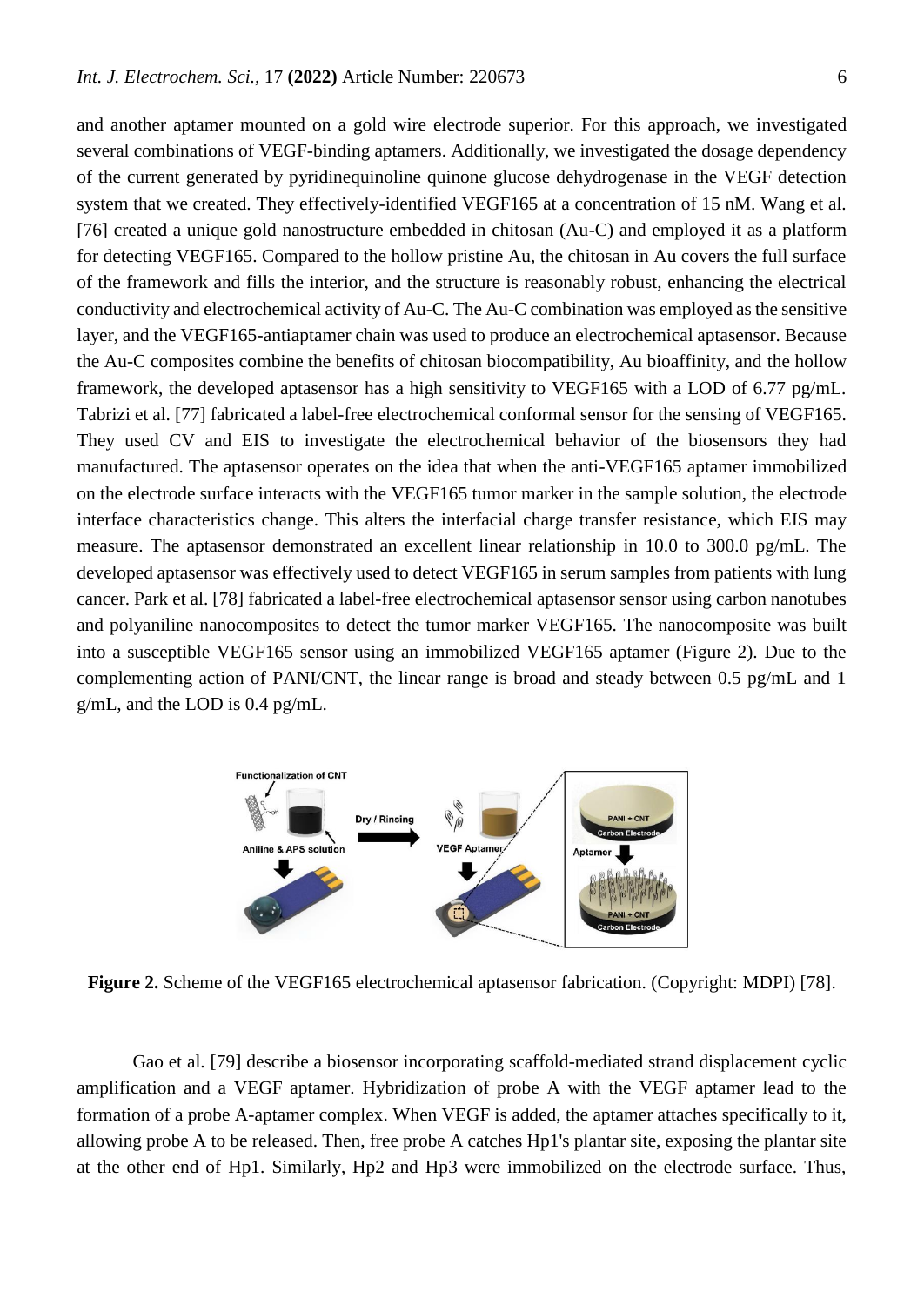and another aptamer mounted on a gold wire electrode superior. For this approach, we investigated several combinations of VEGF-binding aptamers. Additionally, we investigated the dosage dependency of the current generated by pyridinequinoline quinone glucose dehydrogenase in the VEGF detection system that we created. They effectively-identified VEGF165 at a concentration of 15 nM. Wang et al. [76] created a unique gold nanostructure embedded in chitosan (Au-C) and employed it as a platform for detecting VEGF165. Compared to the hollow pristine Au, the chitosan in Au covers the full surface of the framework and fills the interior, and the structure is reasonably robust, enhancing the electrical conductivity and electrochemical activity of Au-C. The Au-C combination was employed as the sensitive layer, and the VEGF165-antiaptamer chain was used to produce an electrochemical aptasensor. Because the Au-C composites combine the benefits of chitosan biocompatibility, Au bioaffinity, and the hollow framework, the developed aptasensor has a high sensitivity to VEGF165 with a LOD of 6.77 pg/mL. Tabrizi et al. [77] fabricated a label-free electrochemical conformal sensor for the sensing of VEGF165. They used CV and EIS to investigate the electrochemical behavior of the biosensors they had manufactured. The aptasensor operates on the idea that when the anti-VEGF165 aptamer immobilized on the electrode surface interacts with the VEGF165 tumor marker in the sample solution, the electrode interface characteristics change. This alters the interfacial charge transfer resistance, which EIS may measure. The aptasensor demonstrated an excellent linear relationship in 10.0 to 300.0 pg/mL. The developed aptasensor was effectively used to detect VEGF165 in serum samples from patients with lung cancer. Park et al. [78] fabricated a label-free electrochemical aptasensor sensor using carbon nanotubes and polyaniline nanocomposites to detect the tumor marker VEGF165. The nanocomposite was built into a susceptible VEGF165 sensor using an immobilized VEGF165 aptamer (Figure 2). Due to the complementing action of PANI/CNT, the linear range is broad and steady between 0.5 pg/mL and 1 g/mL, and the LOD is 0.4 pg/mL.



**Figure 2.** Scheme of the VEGF165 electrochemical aptasensor fabrication. (Copyright: MDPI) [78].

Gao et al. [79] describe a biosensor incorporating scaffold-mediated strand displacement cyclic amplification and a VEGF aptamer. Hybridization of probe A with the VEGF aptamer lead to the formation of a probe A-aptamer complex. When VEGF is added, the aptamer attaches specifically to it, allowing probe A to be released. Then, free probe A catches Hp1's plantar site, exposing the plantar site at the other end of Hp1. Similarly, Hp2 and Hp3 were immobilized on the electrode surface. Thus,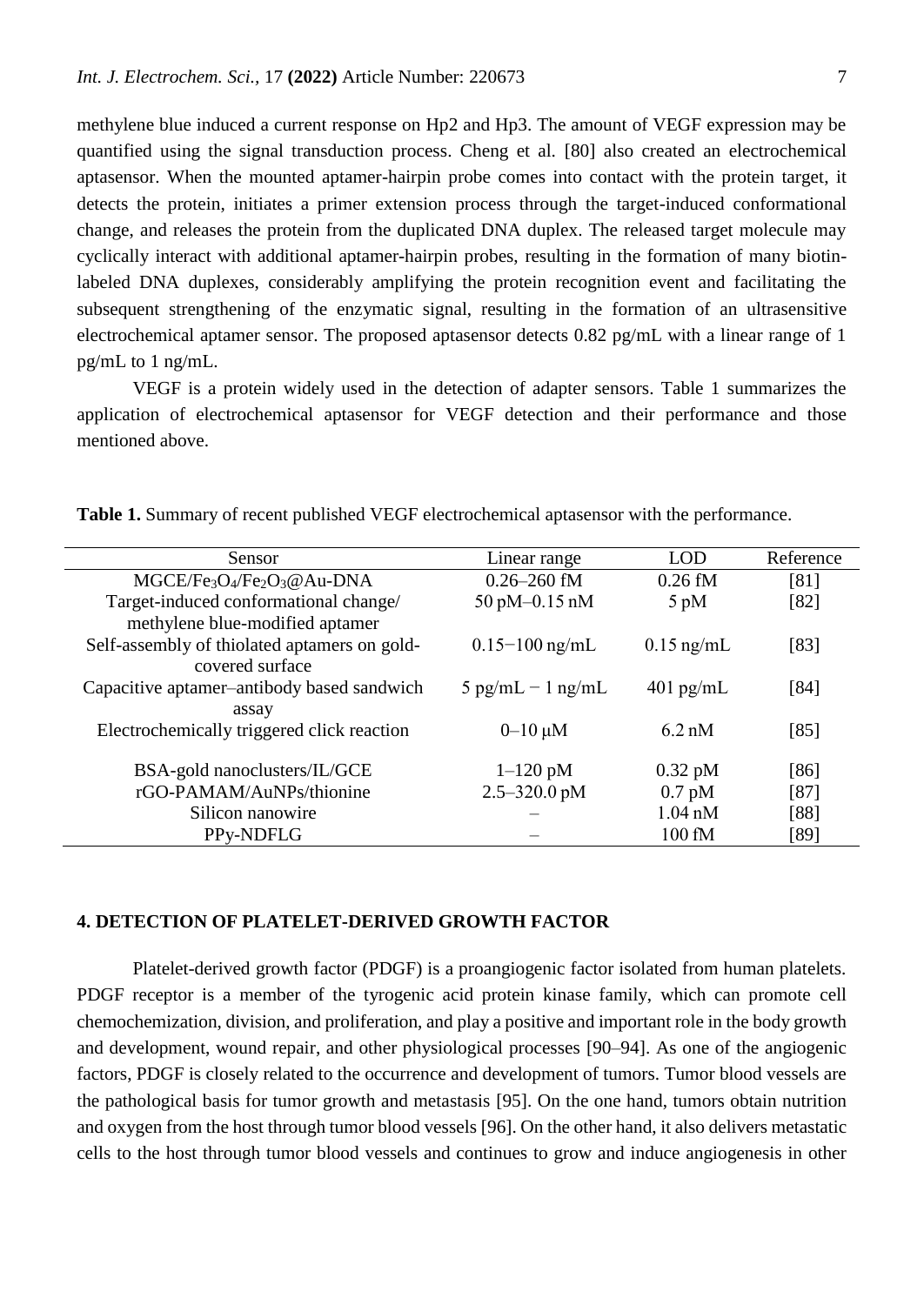methylene blue induced a current response on Hp2 and Hp3. The amount of VEGF expression may be quantified using the signal transduction process. Cheng et al. [80] also created an electrochemical aptasensor. When the mounted aptamer-hairpin probe comes into contact with the protein target, it detects the protein, initiates a primer extension process through the target-induced conformational change, and releases the protein from the duplicated DNA duplex. The released target molecule may cyclically interact with additional aptamer-hairpin probes, resulting in the formation of many biotinlabeled DNA duplexes, considerably amplifying the protein recognition event and facilitating the subsequent strengthening of the enzymatic signal, resulting in the formation of an ultrasensitive electrochemical aptamer sensor. The proposed aptasensor detects 0.82 pg/mL with a linear range of 1 pg/mL to 1 ng/mL.

VEGF is a protein widely used in the detection of adapter sensors. Table 1 summarizes the application of electrochemical aptasensor for VEGF detection and their performance and those mentioned above.

| Sensor                                                                      | Linear range                      | <b>LOD</b>        | Reference |
|-----------------------------------------------------------------------------|-----------------------------------|-------------------|-----------|
| MGCE/Fe <sub>3</sub> O <sub>4</sub> /Fe <sub>2</sub> O <sub>3</sub> @Au-DNA | $0.26 - 260$ fM                   | $0.26$ fM         | [81]      |
| Target-induced conformational change/                                       | $50 \text{ pM} - 0.15 \text{ nM}$ | $5$ pM            | [82]      |
| methylene blue-modified aptamer                                             |                                   |                   |           |
| Self-assembly of thiolated aptamers on gold-                                | $0.15 - 100$ ng/mL                | $0.15$ ng/mL      | [83]      |
| covered surface                                                             |                                   |                   |           |
| Capacitive aptamer-antibody based sandwich                                  | $5$ pg/mL $-1$ ng/mL              | $401$ pg/mL       | [84]      |
| assay                                                                       |                                   |                   |           |
| Electrochemically triggered click reaction                                  | $0 - 10 \mu M$                    | $6.2 \text{ nM}$  | [85]      |
|                                                                             |                                   |                   |           |
| BSA-gold nanoclusters/IL/GCE                                                | $1-120$ pM                        | $0.32 \text{ pM}$ | [86]      |
| rGO-PAMAM/AuNPs/thionine                                                    | $2.5 - 320.0 \text{ pM}$          | $0.7$ pM          | [87]      |
| Silicon nanowire                                                            |                                   | $1.04$ nM         | [88]      |
| PPy-NDFLG                                                                   |                                   | 100 fM            | [89]      |

**Table 1.** Summary of recent published VEGF electrochemical aptasensor with the performance.

#### **4. DETECTION OF PLATELET-DERIVED GROWTH FACTOR**

Platelet-derived growth factor (PDGF) is a proangiogenic factor isolated from human platelets. PDGF receptor is a member of the tyrogenic acid protein kinase family, which can promote cell chemochemization, division, and proliferation, and play a positive and important role in the body growth and development, wound repair, and other physiological processes [90–94]. As one of the angiogenic factors, PDGF is closely related to the occurrence and development of tumors. Tumor blood vessels are the pathological basis for tumor growth and metastasis [95]. On the one hand, tumors obtain nutrition and oxygen from the host through tumor blood vessels [96]. On the other hand, it also delivers metastatic cells to the host through tumor blood vessels and continues to grow and induce angiogenesis in other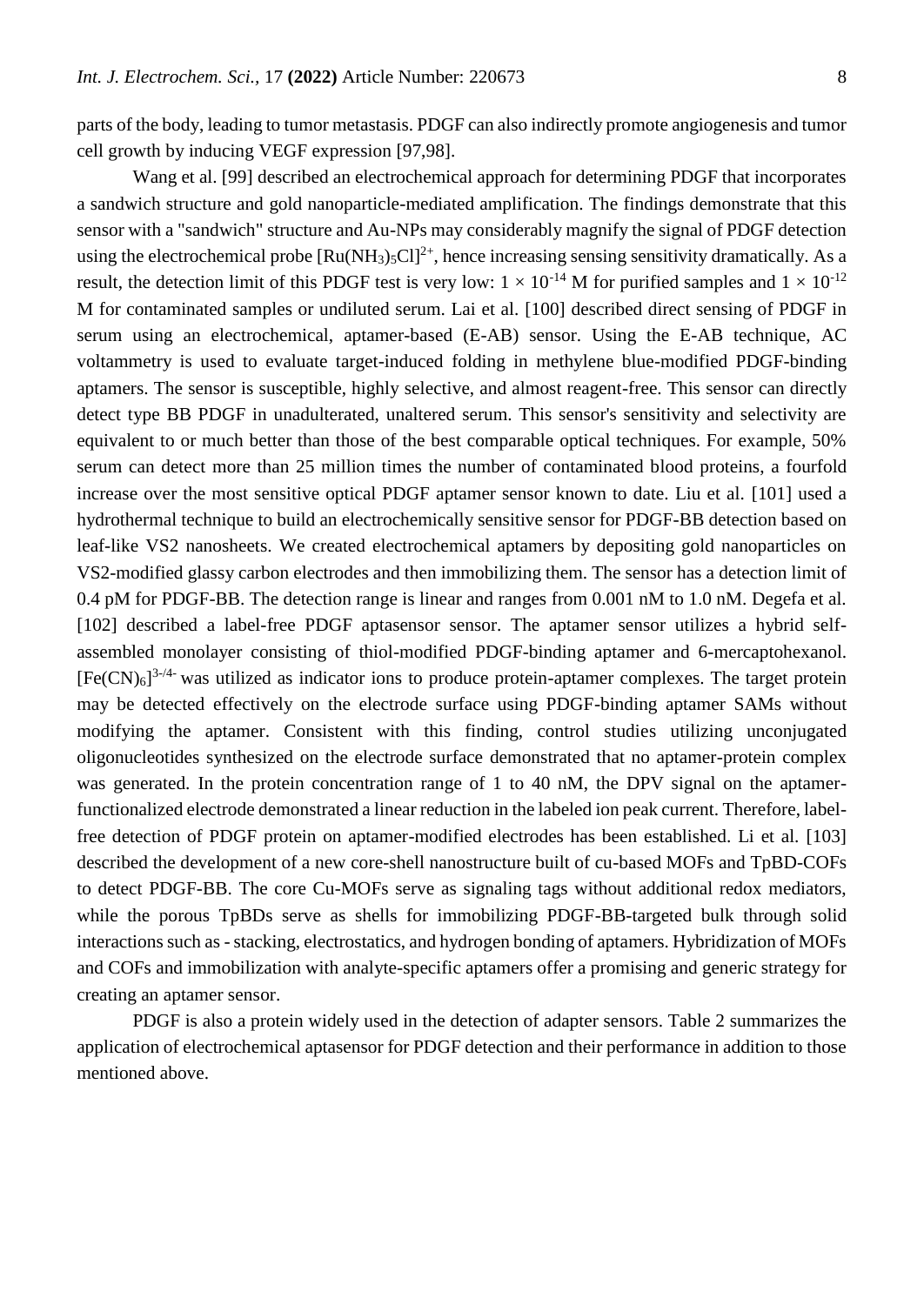parts of the body, leading to tumor metastasis. PDGF can also indirectly promote angiogenesis and tumor cell growth by inducing VEGF expression [97,98].

Wang et al. [99] described an electrochemical approach for determining PDGF that incorporates a sandwich structure and gold nanoparticle-mediated amplification. The findings demonstrate that this sensor with a "sandwich" structure and Au-NPs may considerably magnify the signal of PDGF detection using the electrochemical probe  $\text{Ru(NH}_3)_{5}\text{Cl}^{2+}$ , hence increasing sensing sensitivity dramatically. As a result, the detection limit of this PDGF test is very low:  $1 \times 10^{-14}$  M for purified samples and  $1 \times 10^{-12}$ M for contaminated samples or undiluted serum. Lai et al. [100] described direct sensing of PDGF in serum using an electrochemical, aptamer-based (E-AB) sensor. Using the E-AB technique, AC voltammetry is used to evaluate target-induced folding in methylene blue-modified PDGF-binding aptamers. The sensor is susceptible, highly selective, and almost reagent-free. This sensor can directly detect type BB PDGF in unadulterated, unaltered serum. This sensor's sensitivity and selectivity are equivalent to or much better than those of the best comparable optical techniques. For example, 50% serum can detect more than 25 million times the number of contaminated blood proteins, a fourfold increase over the most sensitive optical PDGF aptamer sensor known to date. Liu et al. [101] used a hydrothermal technique to build an electrochemically sensitive sensor for PDGF-BB detection based on leaf-like VS2 nanosheets. We created electrochemical aptamers by depositing gold nanoparticles on VS2-modified glassy carbon electrodes and then immobilizing them. The sensor has a detection limit of 0.4 pM for PDGF-BB. The detection range is linear and ranges from 0.001 nM to 1.0 nM. Degefa et al. [102] described a label-free PDGF aptasensor sensor. The aptamer sensor utilizes a hybrid selfassembled monolayer consisting of thiol-modified PDGF-binding aptamer and 6-mercaptohexanol.  $[Fe(CN)_6]^{3-4}$  was utilized as indicator ions to produce protein-aptamer complexes. The target protein may be detected effectively on the electrode surface using PDGF-binding aptamer SAMs without modifying the aptamer. Consistent with this finding, control studies utilizing unconjugated oligonucleotides synthesized on the electrode surface demonstrated that no aptamer-protein complex was generated. In the protein concentration range of 1 to 40 nM, the DPV signal on the aptamerfunctionalized electrode demonstrated a linear reduction in the labeled ion peak current. Therefore, labelfree detection of PDGF protein on aptamer-modified electrodes has been established. Li et al. [103] described the development of a new core-shell nanostructure built of cu-based MOFs and TpBD-COFs to detect PDGF-BB. The core Cu-MOFs serve as signaling tags without additional redox mediators, while the porous TpBDs serve as shells for immobilizing PDGF-BB-targeted bulk through solid interactions such as - stacking, electrostatics, and hydrogen bonding of aptamers. Hybridization of MOFs and COFs and immobilization with analyte-specific aptamers offer a promising and generic strategy for creating an aptamer sensor.

PDGF is also a protein widely used in the detection of adapter sensors. Table 2 summarizes the application of electrochemical aptasensor for PDGF detection and their performance in addition to those mentioned above.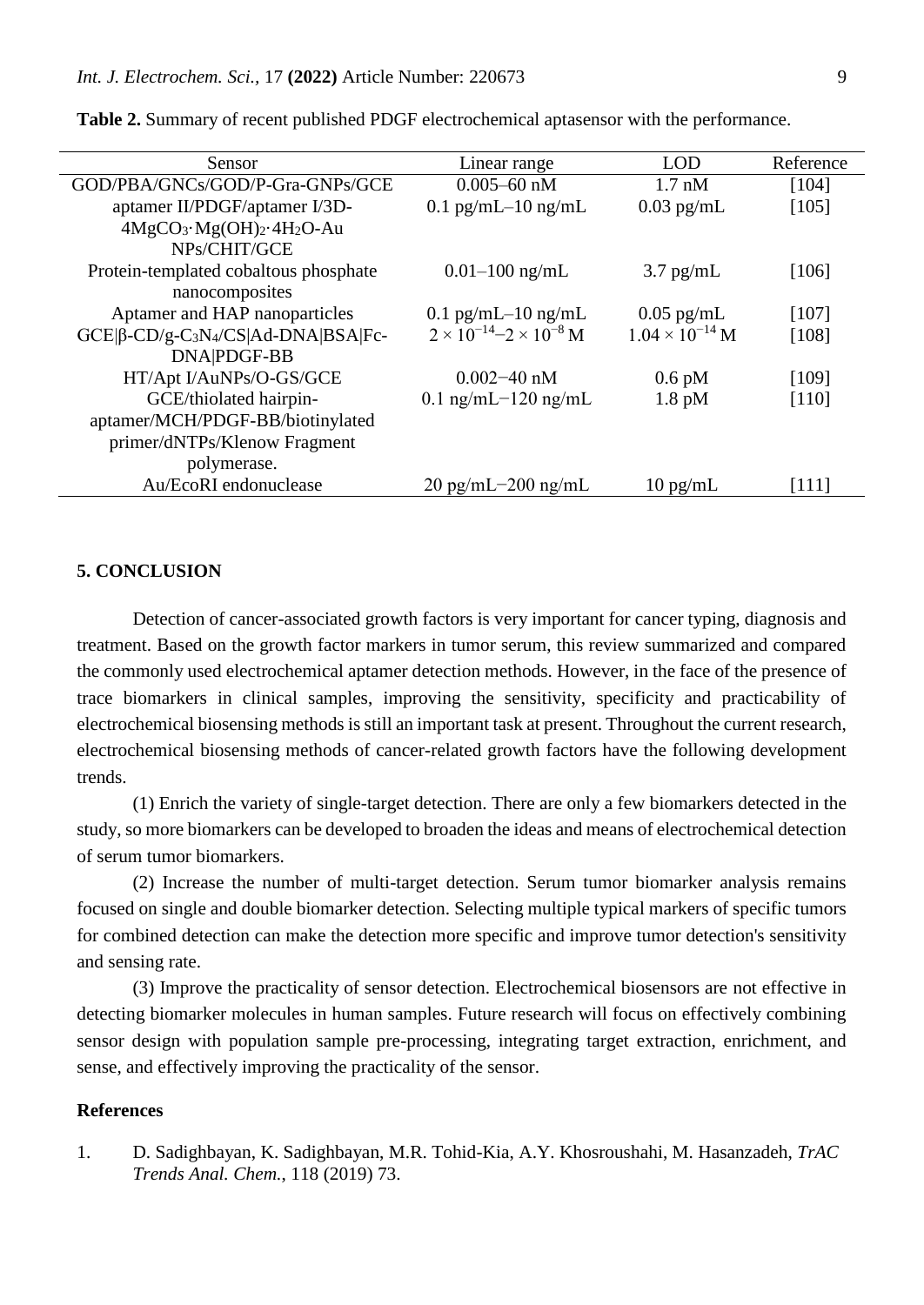| Sensor                                                             | Linear range                             | LOD                      | Reference |
|--------------------------------------------------------------------|------------------------------------------|--------------------------|-----------|
| GOD/PBA/GNCs/GOD/P-Gra-GNPs/GCE                                    | $0.005 - 60$ nM                          | $1.7 \text{ nM}$         | [104]     |
| aptamer II/PDGF/aptamer I/3D-                                      | 0.1 pg/mL $-10$ ng/mL                    | $0.03$ pg/mL             | [105]     |
| $4MgCO3·Mg(OH)2·4H2O-Au$                                           |                                          |                          |           |
| NPs/CHIT/GCE                                                       |                                          |                          |           |
| Protein-templated cobaltous phosphate                              | $0.01 - 100$ ng/mL                       | $3.7$ pg/mL              | [106]     |
| nanocomposites                                                     |                                          |                          |           |
| Aptamer and HAP nanoparticles                                      | 0.1 pg/mL $-10$ ng/mL                    | $0.05$ pg/mL             | [107]     |
| $GCE \beta$ -CD/g-C <sub>3</sub> N <sub>4</sub> /CS Ad-DNA BSA Fc- | $2 \times 10^{-14} - 2 \times 10^{-8}$ M | $1.04 \times 10^{-14}$ M | [108]     |
| DNA PDGF-BB                                                        |                                          |                          |           |
| HT/Apt I/AuNPs/O-GS/GCE                                            | $0.002 - 40$ nM                          | $0.6$ pM                 | [109]     |
| GCE/thiolated hairpin-                                             | $0.1$ ng/mL $-120$ ng/mL                 | $1.8$ pM                 | [110]     |
| aptamer/MCH/PDGF-BB/biotinylated                                   |                                          |                          |           |
| primer/dNTPs/Klenow Fragment                                       |                                          |                          |           |
| polymerase.                                                        |                                          |                          |           |
| Au/EcoRI endonuclease                                              | $20 \text{ pg/mL} - 200 \text{ ng/mL}$   | $10 \text{ pg/mL}$       | $[111]$   |

**Table 2.** Summary of recent published PDGF electrochemical aptasensor with the performance.

#### **5. CONCLUSION**

Detection of cancer-associated growth factors is very important for cancer typing, diagnosis and treatment. Based on the growth factor markers in tumor serum, this review summarized and compared the commonly used electrochemical aptamer detection methods. However, in the face of the presence of trace biomarkers in clinical samples, improving the sensitivity, specificity and practicability of electrochemical biosensing methods is still an important task at present. Throughout the current research, electrochemical biosensing methods of cancer-related growth factors have the following development trends.

(1) Enrich the variety of single-target detection. There are only a few biomarkers detected in the study, so more biomarkers can be developed to broaden the ideas and means of electrochemical detection of serum tumor biomarkers.

(2) Increase the number of multi-target detection. Serum tumor biomarker analysis remains focused on single and double biomarker detection. Selecting multiple typical markers of specific tumors for combined detection can make the detection more specific and improve tumor detection's sensitivity and sensing rate.

(3) Improve the practicality of sensor detection. Electrochemical biosensors are not effective in detecting biomarker molecules in human samples. Future research will focus on effectively combining sensor design with population sample pre-processing, integrating target extraction, enrichment, and sense, and effectively improving the practicality of the sensor.

### **References**

1. D. Sadighbayan, K. Sadighbayan, M.R. Tohid-Kia, A.Y. Khosroushahi, M. Hasanzadeh, *TrAC Trends Anal. Chem.*, 118 (2019) 73.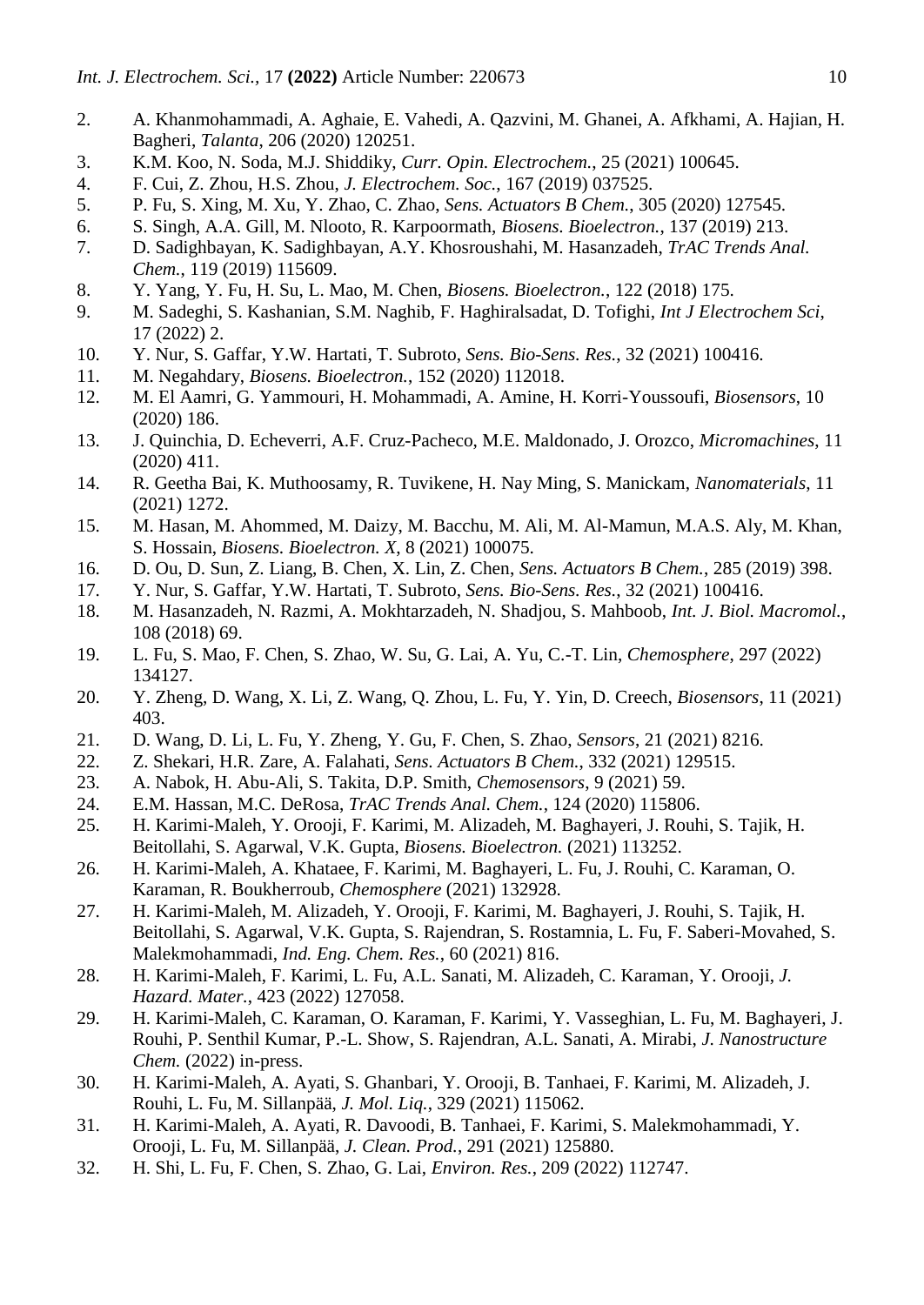- 2. A. Khanmohammadi, A. Aghaie, E. Vahedi, A. Qazvini, M. Ghanei, A. Afkhami, A. Hajian, H. Bagheri, *Talanta*, 206 (2020) 120251.
- 3. K.M. Koo, N. Soda, M.J. Shiddiky, *Curr. Opin. Electrochem.*, 25 (2021) 100645.
- 4. F. Cui, Z. Zhou, H.S. Zhou, *J. Electrochem. Soc.*, 167 (2019) 037525.
- 5. P. Fu, S. Xing, M. Xu, Y. Zhao, C. Zhao, *Sens. Actuators B Chem.*, 305 (2020) 127545.
- 6. S. Singh, A.A. Gill, M. Nlooto, R. Karpoormath, *Biosens. Bioelectron.*, 137 (2019) 213.
- 7. D. Sadighbayan, K. Sadighbayan, A.Y. Khosroushahi, M. Hasanzadeh, *TrAC Trends Anal. Chem.*, 119 (2019) 115609.
- 8. Y. Yang, Y. Fu, H. Su, L. Mao, M. Chen, *Biosens. Bioelectron.*, 122 (2018) 175.
- 9. M. Sadeghi, S. Kashanian, S.M. Naghib, F. Haghiralsadat, D. Tofighi, *Int J Electrochem Sci*, 17 (2022) 2.
- 10. Y. Nur, S. Gaffar, Y.W. Hartati, T. Subroto, *Sens. Bio-Sens. Res.*, 32 (2021) 100416.
- 11. M. Negahdary, *Biosens. Bioelectron.*, 152 (2020) 112018.
- 12. M. El Aamri, G. Yammouri, H. Mohammadi, A. Amine, H. Korri-Youssoufi, *Biosensors*, 10 (2020) 186.
- 13. J. Quinchia, D. Echeverri, A.F. Cruz-Pacheco, M.E. Maldonado, J. Orozco, *Micromachines*, 11 (2020) 411.
- 14. R. Geetha Bai, K. Muthoosamy, R. Tuvikene, H. Nay Ming, S. Manickam, *Nanomaterials*, 11 (2021) 1272.
- 15. M. Hasan, M. Ahommed, M. Daizy, M. Bacchu, M. Ali, M. Al-Mamun, M.A.S. Aly, M. Khan, S. Hossain, *Biosens. Bioelectron. X*, 8 (2021) 100075.
- 16. D. Ou, D. Sun, Z. Liang, B. Chen, X. Lin, Z. Chen, *Sens. Actuators B Chem.*, 285 (2019) 398.
- 17. Y. Nur, S. Gaffar, Y.W. Hartati, T. Subroto, *Sens. Bio-Sens. Res.*, 32 (2021) 100416.
- 18. M. Hasanzadeh, N. Razmi, A. Mokhtarzadeh, N. Shadjou, S. Mahboob, *Int. J. Biol. Macromol.*, 108 (2018) 69.
- 19. L. Fu, S. Mao, F. Chen, S. Zhao, W. Su, G. Lai, A. Yu, C.-T. Lin, *Chemosphere*, 297 (2022) 134127.
- 20. Y. Zheng, D. Wang, X. Li, Z. Wang, Q. Zhou, L. Fu, Y. Yin, D. Creech, *Biosensors*, 11 (2021) 403.
- 21. D. Wang, D. Li, L. Fu, Y. Zheng, Y. Gu, F. Chen, S. Zhao, *Sensors*, 21 (2021) 8216.
- 22. Z. Shekari, H.R. Zare, A. Falahati, *Sens. Actuators B Chem.*, 332 (2021) 129515.
- 23. A. Nabok, H. Abu-Ali, S. Takita, D.P. Smith, *Chemosensors*, 9 (2021) 59.
- 24. E.M. Hassan, M.C. DeRosa, *TrAC Trends Anal. Chem.*, 124 (2020) 115806.
- 25. H. Karimi-Maleh, Y. Orooji, F. Karimi, M. Alizadeh, M. Baghayeri, J. Rouhi, S. Tajik, H. Beitollahi, S. Agarwal, V.K. Gupta, *Biosens. Bioelectron.* (2021) 113252.
- 26. H. Karimi-Maleh, A. Khataee, F. Karimi, M. Baghayeri, L. Fu, J. Rouhi, C. Karaman, O. Karaman, R. Boukherroub, *Chemosphere* (2021) 132928.
- 27. H. Karimi-Maleh, M. Alizadeh, Y. Orooji, F. Karimi, M. Baghayeri, J. Rouhi, S. Tajik, H. Beitollahi, S. Agarwal, V.K. Gupta, S. Rajendran, S. Rostamnia, L. Fu, F. Saberi-Movahed, S. Malekmohammadi, *Ind. Eng. Chem. Res.*, 60 (2021) 816.
- 28. H. Karimi-Maleh, F. Karimi, L. Fu, A.L. Sanati, M. Alizadeh, C. Karaman, Y. Orooji, *J. Hazard. Mater.*, 423 (2022) 127058.
- 29. H. Karimi-Maleh, C. Karaman, O. Karaman, F. Karimi, Y. Vasseghian, L. Fu, M. Baghayeri, J. Rouhi, P. Senthil Kumar, P.-L. Show, S. Rajendran, A.L. Sanati, A. Mirabi, *J. Nanostructure Chem.* (2022) in-press.
- 30. H. Karimi-Maleh, A. Ayati, S. Ghanbari, Y. Orooji, B. Tanhaei, F. Karimi, M. Alizadeh, J. Rouhi, L. Fu, M. Sillanpää, *J. Mol. Liq.*, 329 (2021) 115062.
- 31. H. Karimi-Maleh, A. Ayati, R. Davoodi, B. Tanhaei, F. Karimi, S. Malekmohammadi, Y. Orooji, L. Fu, M. Sillanpää, *J. Clean. Prod.*, 291 (2021) 125880.
- 32. H. Shi, L. Fu, F. Chen, S. Zhao, G. Lai, *Environ. Res.*, 209 (2022) 112747.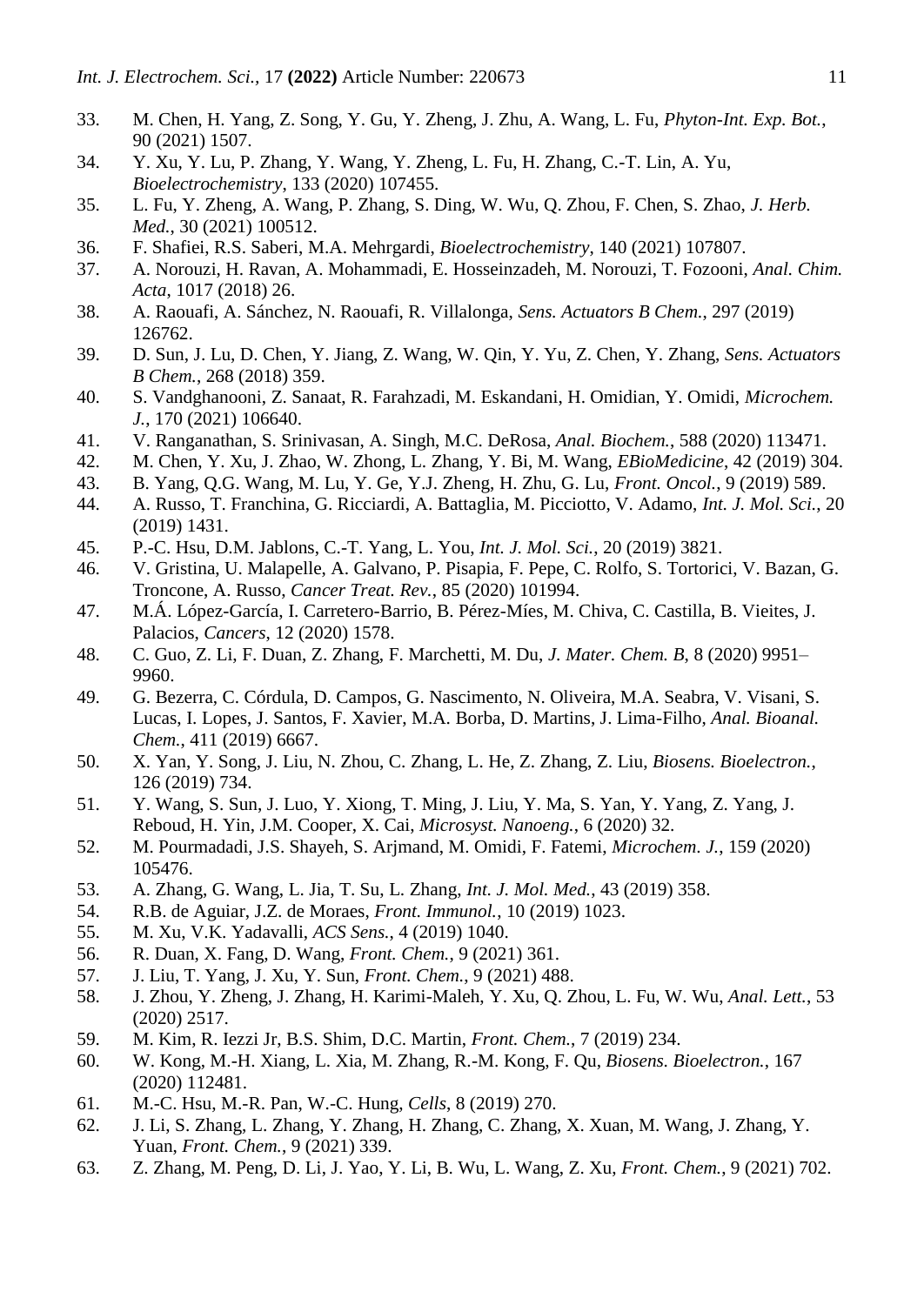- 33. M. Chen, H. Yang, Z. Song, Y. Gu, Y. Zheng, J. Zhu, A. Wang, L. Fu, *Phyton-Int. Exp. Bot.*, 90 (2021) 1507.
- 34. Y. Xu, Y. Lu, P. Zhang, Y. Wang, Y. Zheng, L. Fu, H. Zhang, C.-T. Lin, A. Yu, *Bioelectrochemistry*, 133 (2020) 107455.
- 35. L. Fu, Y. Zheng, A. Wang, P. Zhang, S. Ding, W. Wu, Q. Zhou, F. Chen, S. Zhao, *J. Herb. Med.*, 30 (2021) 100512.
- 36. F. Shafiei, R.S. Saberi, M.A. Mehrgardi, *Bioelectrochemistry*, 140 (2021) 107807.
- 37. A. Norouzi, H. Ravan, A. Mohammadi, E. Hosseinzadeh, M. Norouzi, T. Fozooni, *Anal. Chim. Acta*, 1017 (2018) 26.
- 38. A. Raouafi, A. Sánchez, N. Raouafi, R. Villalonga, *Sens. Actuators B Chem.*, 297 (2019) 126762.
- 39. D. Sun, J. Lu, D. Chen, Y. Jiang, Z. Wang, W. Qin, Y. Yu, Z. Chen, Y. Zhang, *Sens. Actuators B Chem.*, 268 (2018) 359.
- 40. S. Vandghanooni, Z. Sanaat, R. Farahzadi, M. Eskandani, H. Omidian, Y. Omidi, *Microchem. J.*, 170 (2021) 106640.
- 41. V. Ranganathan, S. Srinivasan, A. Singh, M.C. DeRosa, *Anal. Biochem.*, 588 (2020) 113471.
- 42. M. Chen, Y. Xu, J. Zhao, W. Zhong, L. Zhang, Y. Bi, M. Wang, *EBioMedicine*, 42 (2019) 304.
- 43. B. Yang, Q.G. Wang, M. Lu, Y. Ge, Y.J. Zheng, H. Zhu, G. Lu, *Front. Oncol.*, 9 (2019) 589.
- 44. A. Russo, T. Franchina, G. Ricciardi, A. Battaglia, M. Picciotto, V. Adamo, *Int. J. Mol. Sci.*, 20 (2019) 1431.
- 45. P.-C. Hsu, D.M. Jablons, C.-T. Yang, L. You, *Int. J. Mol. Sci.*, 20 (2019) 3821.
- 46. V. Gristina, U. Malapelle, A. Galvano, P. Pisapia, F. Pepe, C. Rolfo, S. Tortorici, V. Bazan, G. Troncone, A. Russo, *Cancer Treat. Rev.*, 85 (2020) 101994.
- 47. M.Á. López-García, I. Carretero-Barrio, B. Pérez-Míes, M. Chiva, C. Castilla, B. Vieites, J. Palacios, *Cancers*, 12 (2020) 1578.
- 48. C. Guo, Z. Li, F. Duan, Z. Zhang, F. Marchetti, M. Du, *J. Mater. Chem. B*, 8 (2020) 9951– 9960.
- 49. G. Bezerra, C. Córdula, D. Campos, G. Nascimento, N. Oliveira, M.A. Seabra, V. Visani, S. Lucas, I. Lopes, J. Santos, F. Xavier, M.A. Borba, D. Martins, J. Lima-Filho, *Anal. Bioanal. Chem.*, 411 (2019) 6667.
- 50. X. Yan, Y. Song, J. Liu, N. Zhou, C. Zhang, L. He, Z. Zhang, Z. Liu, *Biosens. Bioelectron.*, 126 (2019) 734.
- 51. Y. Wang, S. Sun, J. Luo, Y. Xiong, T. Ming, J. Liu, Y. Ma, S. Yan, Y. Yang, Z. Yang, J. Reboud, H. Yin, J.M. Cooper, X. Cai, *Microsyst. Nanoeng.*, 6 (2020) 32.
- 52. M. Pourmadadi, J.S. Shayeh, S. Arjmand, M. Omidi, F. Fatemi, *Microchem. J.*, 159 (2020) 105476.
- 53. A. Zhang, G. Wang, L. Jia, T. Su, L. Zhang, *Int. J. Mol. Med.*, 43 (2019) 358.
- 54. R.B. de Aguiar, J.Z. de Moraes, *Front. Immunol.*, 10 (2019) 1023.
- 55. M. Xu, V.K. Yadavalli, *ACS Sens.*, 4 (2019) 1040.
- 56. R. Duan, X. Fang, D. Wang, *Front. Chem.*, 9 (2021) 361.
- 57. J. Liu, T. Yang, J. Xu, Y. Sun, *Front. Chem.*, 9 (2021) 488.
- 58. J. Zhou, Y. Zheng, J. Zhang, H. Karimi-Maleh, Y. Xu, Q. Zhou, L. Fu, W. Wu, *Anal. Lett.*, 53 (2020) 2517.
- 59. M. Kim, R. Iezzi Jr, B.S. Shim, D.C. Martin, *Front. Chem.*, 7 (2019) 234.
- 60. W. Kong, M.-H. Xiang, L. Xia, M. Zhang, R.-M. Kong, F. Qu, *Biosens. Bioelectron.*, 167 (2020) 112481.
- 61. M.-C. Hsu, M.-R. Pan, W.-C. Hung, *Cells*, 8 (2019) 270.
- 62. J. Li, S. Zhang, L. Zhang, Y. Zhang, H. Zhang, C. Zhang, X. Xuan, M. Wang, J. Zhang, Y. Yuan, *Front. Chem.*, 9 (2021) 339.
- 63. Z. Zhang, M. Peng, D. Li, J. Yao, Y. Li, B. Wu, L. Wang, Z. Xu, *Front. Chem.*, 9 (2021) 702.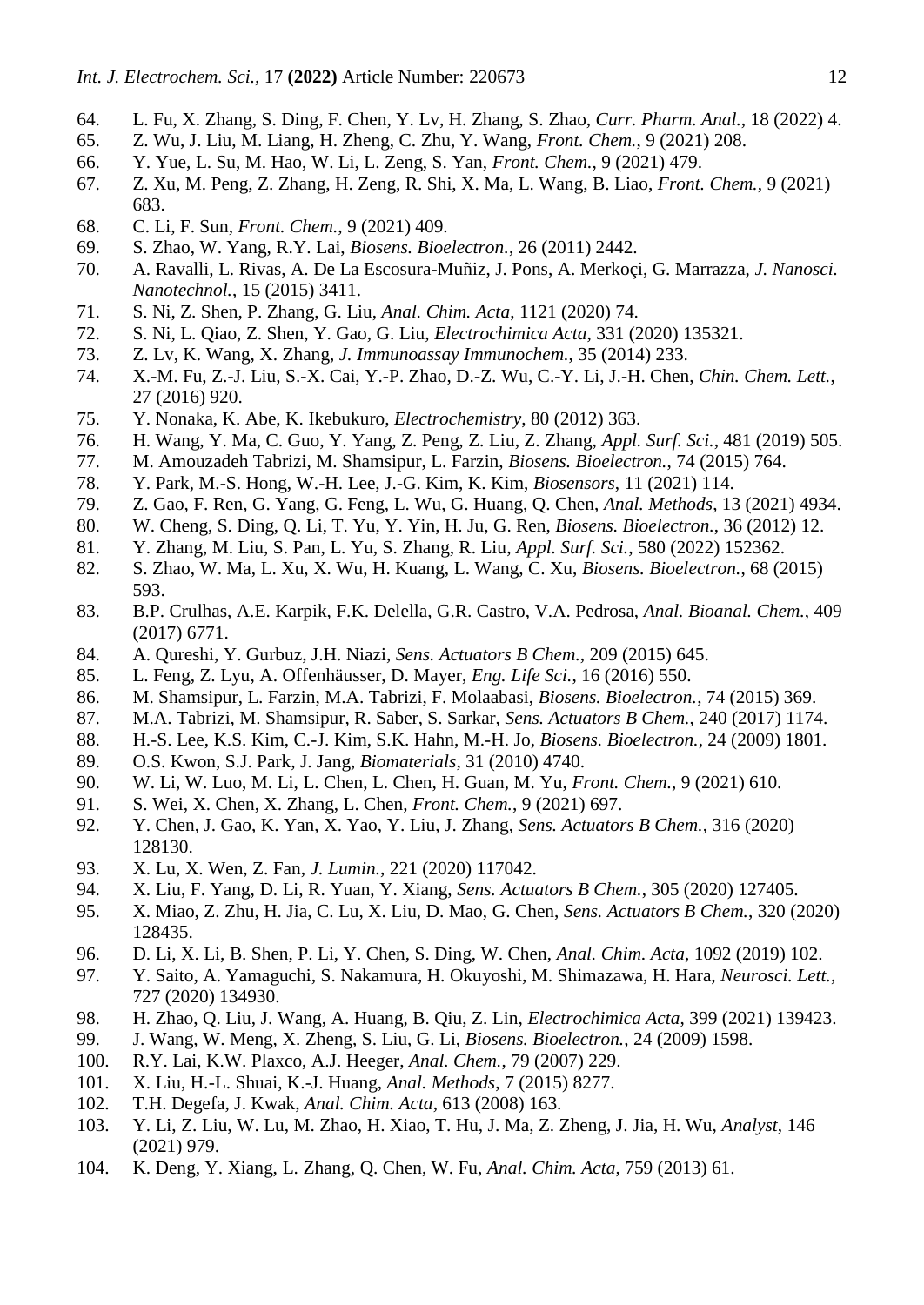- 64. L. Fu, X. Zhang, S. Ding, F. Chen, Y. Lv, H. Zhang, S. Zhao, *Curr. Pharm. Anal.*, 18 (2022) 4.
- 65. Z. Wu, J. Liu, M. Liang, H. Zheng, C. Zhu, Y. Wang, *Front. Chem.*, 9 (2021) 208.
- 66. Y. Yue, L. Su, M. Hao, W. Li, L. Zeng, S. Yan, *Front. Chem.*, 9 (2021) 479.
- 67. Z. Xu, M. Peng, Z. Zhang, H. Zeng, R. Shi, X. Ma, L. Wang, B. Liao, *Front. Chem.*, 9 (2021) 683.
- 68. C. Li, F. Sun, *Front. Chem.*, 9 (2021) 409.
- 69. S. Zhao, W. Yang, R.Y. Lai, *Biosens. Bioelectron.*, 26 (2011) 2442.
- 70. A. Ravalli, L. Rivas, A. De La Escosura-Muñiz, J. Pons, A. Merkoçi, G. Marrazza, *J. Nanosci. Nanotechnol.*, 15 (2015) 3411.
- 71. S. Ni, Z. Shen, P. Zhang, G. Liu, *Anal. Chim. Acta*, 1121 (2020) 74.
- 72. S. Ni, L. Qiao, Z. Shen, Y. Gao, G. Liu, *Electrochimica Acta*, 331 (2020) 135321.
- 73. Z. Lv, K. Wang, X. Zhang, *J. Immunoassay Immunochem.*, 35 (2014) 233.
- 74. X.-M. Fu, Z.-J. Liu, S.-X. Cai, Y.-P. Zhao, D.-Z. Wu, C.-Y. Li, J.-H. Chen, *Chin. Chem. Lett.*, 27 (2016) 920.
- 75. Y. Nonaka, K. Abe, K. Ikebukuro, *Electrochemistry*, 80 (2012) 363.
- 76. H. Wang, Y. Ma, C. Guo, Y. Yang, Z. Peng, Z. Liu, Z. Zhang, *Appl. Surf. Sci.*, 481 (2019) 505.
- 77. M. Amouzadeh Tabrizi, M. Shamsipur, L. Farzin, *Biosens. Bioelectron.*, 74 (2015) 764.
- 78. Y. Park, M.-S. Hong, W.-H. Lee, J.-G. Kim, K. Kim, *Biosensors*, 11 (2021) 114.
- 79. Z. Gao, F. Ren, G. Yang, G. Feng, L. Wu, G. Huang, Q. Chen, *Anal. Methods*, 13 (2021) 4934.
- 80. W. Cheng, S. Ding, Q. Li, T. Yu, Y. Yin, H. Ju, G. Ren, *Biosens. Bioelectron.*, 36 (2012) 12.
- 81. Y. Zhang, M. Liu, S. Pan, L. Yu, S. Zhang, R. Liu, *Appl. Surf. Sci.*, 580 (2022) 152362.
- 82. S. Zhao, W. Ma, L. Xu, X. Wu, H. Kuang, L. Wang, C. Xu, *Biosens. Bioelectron.*, 68 (2015) 593.
- 83. B.P. Crulhas, A.E. Karpik, F.K. Delella, G.R. Castro, V.A. Pedrosa, *Anal. Bioanal. Chem.*, 409 (2017) 6771.
- 84. A. Qureshi, Y. Gurbuz, J.H. Niazi, *Sens. Actuators B Chem.*, 209 (2015) 645.
- 85. L. Feng, Z. Lyu, A. Offenhäusser, D. Mayer, *Eng. Life Sci.*, 16 (2016) 550.
- 86. M. Shamsipur, L. Farzin, M.A. Tabrizi, F. Molaabasi, *Biosens. Bioelectron.*, 74 (2015) 369.
- 87. M.A. Tabrizi, M. Shamsipur, R. Saber, S. Sarkar, *Sens. Actuators B Chem.*, 240 (2017) 1174.
- 88. H.-S. Lee, K.S. Kim, C.-J. Kim, S.K. Hahn, M.-H. Jo, *Biosens. Bioelectron.*, 24 (2009) 1801.
- 89. O.S. Kwon, S.J. Park, J. Jang, *Biomaterials*, 31 (2010) 4740.
- 90. W. Li, W. Luo, M. Li, L. Chen, L. Chen, H. Guan, M. Yu, *Front. Chem.*, 9 (2021) 610.
- 91. S. Wei, X. Chen, X. Zhang, L. Chen, *Front. Chem.*, 9 (2021) 697.
- 92. Y. Chen, J. Gao, K. Yan, X. Yao, Y. Liu, J. Zhang, *Sens. Actuators B Chem.*, 316 (2020) 128130.
- 93. X. Lu, X. Wen, Z. Fan, *J. Lumin.*, 221 (2020) 117042.
- 94. X. Liu, F. Yang, D. Li, R. Yuan, Y. Xiang, *Sens. Actuators B Chem.*, 305 (2020) 127405.
- 95. X. Miao, Z. Zhu, H. Jia, C. Lu, X. Liu, D. Mao, G. Chen, *Sens. Actuators B Chem.*, 320 (2020) 128435.
- 96. D. Li, X. Li, B. Shen, P. Li, Y. Chen, S. Ding, W. Chen, *Anal. Chim. Acta*, 1092 (2019) 102.
- 97. Y. Saito, A. Yamaguchi, S. Nakamura, H. Okuyoshi, M. Shimazawa, H. Hara, *Neurosci. Lett.*, 727 (2020) 134930.
- 98. H. Zhao, Q. Liu, J. Wang, A. Huang, B. Qiu, Z. Lin, *Electrochimica Acta*, 399 (2021) 139423.
- 99. J. Wang, W. Meng, X. Zheng, S. Liu, G. Li, *Biosens. Bioelectron.*, 24 (2009) 1598.
- 100. R.Y. Lai, K.W. Plaxco, A.J. Heeger, *Anal. Chem.*, 79 (2007) 229.
- 101. X. Liu, H.-L. Shuai, K.-J. Huang, *Anal. Methods*, 7 (2015) 8277.
- 102. T.H. Degefa, J. Kwak, *Anal. Chim. Acta*, 613 (2008) 163.
- 103. Y. Li, Z. Liu, W. Lu, M. Zhao, H. Xiao, T. Hu, J. Ma, Z. Zheng, J. Jia, H. Wu, *Analyst*, 146 (2021) 979.
- 104. K. Deng, Y. Xiang, L. Zhang, Q. Chen, W. Fu, *Anal. Chim. Acta*, 759 (2013) 61.